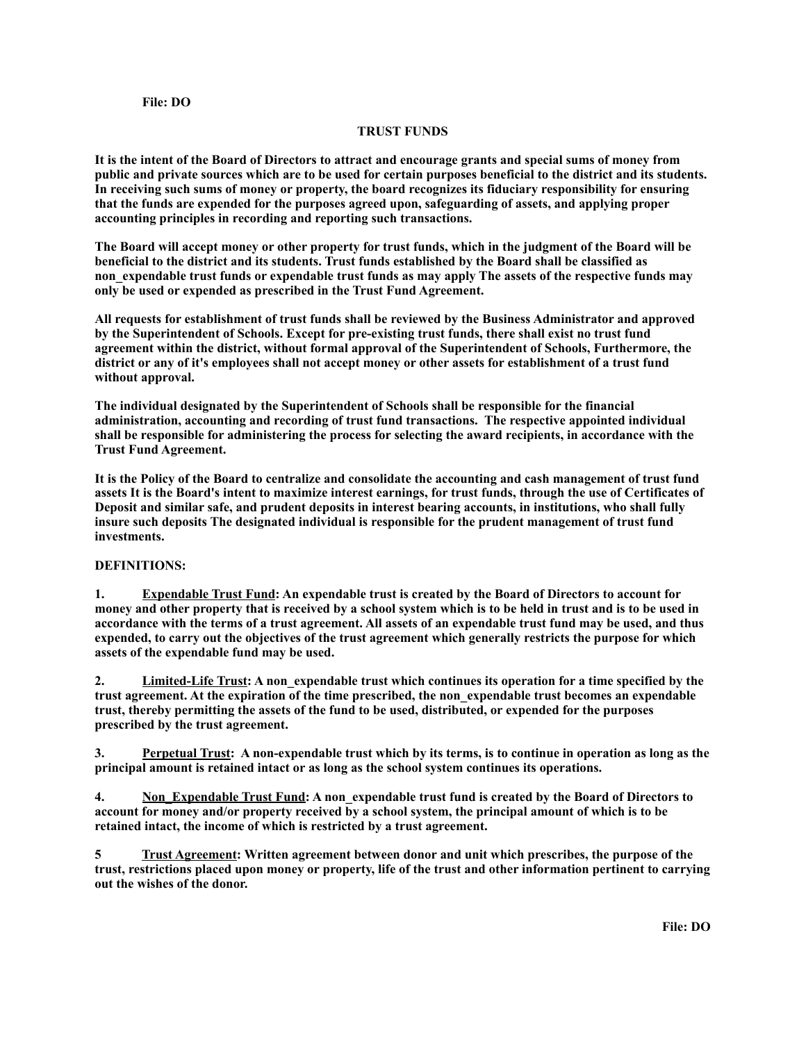## **File: DO**

## **TRUST FUNDS**

**It is the intent of the Board of Directors to attract and encourage grants and special sums of money from public and private sources which are to be used for certain purposes beneficial to the district and its students. In receiving such sums of money or property, the board recognizes its fiduciary responsibility for ensuring that the funds are expended for the purposes agreed upon, safeguarding of assets, and applying proper accounting principles in recording and reporting such transactions.**

**The Board will accept money or other property for trust funds, which in the judgment of the Board will be beneficial to the district and its students. Trust funds established by the Board shall be classified as non\_expendable trust funds or expendable trust funds as may apply The assets of the respective funds may only be used or expended as prescribed in the Trust Fund Agreement.**

**All requests for establishment of trust funds shall be reviewed by the Business Administrator and approved by the Superintendent of Schools. Except for pre-existing trust funds, there shall exist no trust fund agreement within the district, without formal approval of the Superintendent of Schools, Furthermore, the district or any of it's employees shall not accept money or other assets for establishment of a trust fund without approval.**

**The individual designated by the Superintendent of Schools shall be responsible for the financial administration, accounting and recording of trust fund transactions. The respective appointed individual shall be responsible for administering the process for selecting the award recipients, in accordance with the Trust Fund Agreement.**

**It is the Policy of the Board to centralize and consolidate the accounting and cash management of trust fund assets It is the Board's intent to maximize interest earnings, for trust funds, through the use of Certificates of Deposit and similar safe, and prudent deposits in interest bearing accounts, in institutions, who shall fully insure such deposits The designated individual is responsible for the prudent management of trust fund investments.**

## **DEFINITIONS:**

**1. Expendable Trust Fund: An expendable trust is created by the Board of Directors to account for money and other property that is received by a school system which is to be held in trust and is to be used in accordance with the terms of a trust agreement. All assets of an expendable trust fund may be used, and thus expended, to carry out the objectives of the trust agreement which generally restricts the purpose for which assets of the expendable fund may be used.**

**2. Limited-Life Trust: A non\_expendable trust which continues its operation for a time specified by the trust agreement. At the expiration of the time prescribed, the non\_expendable trust becomes an expendable trust, thereby permitting the assets of the fund to be used, distributed, or expended for the purposes prescribed by the trust agreement.**

**3. Perpetual Trust: A non-expendable trust which by its terms, is to continue in operation as long as the principal amount is retained intact or as long as the school system continues its operations.**

**4. Non\_Expendable Trust Fund: A non\_expendable trust fund is created by the Board of Directors to account for money and/or property received by a school system, the principal amount of which is to be retained intact, the income of which is restricted by a trust agreement.**

**5 Trust Agreement: Written agreement between donor and unit which prescribes, the purpose of the trust, restrictions placed upon money or property, life of the trust and other information pertinent to carrying out the wishes of the donor.**